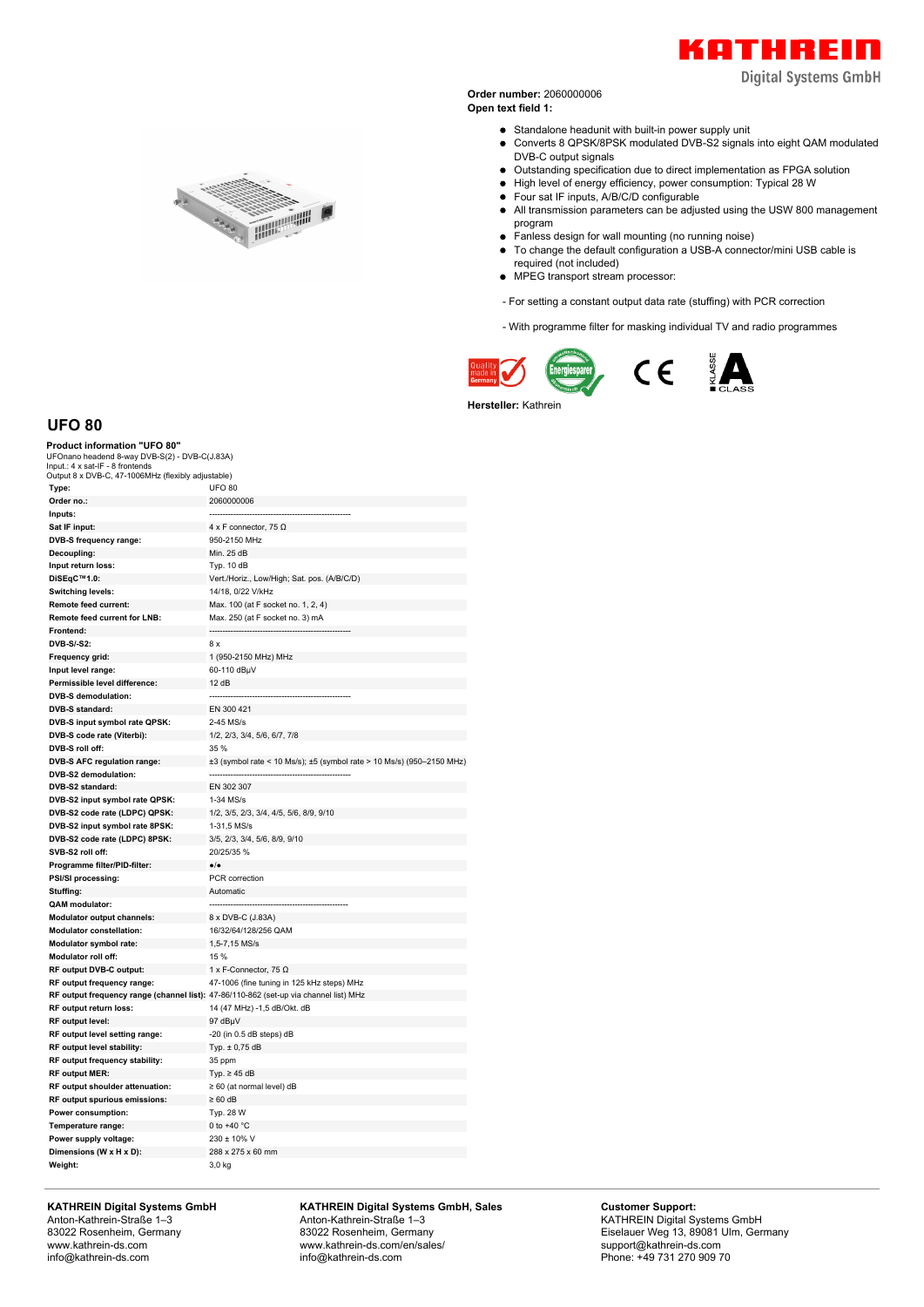

**Digital Systems GmbH** 

**Order number:** 2060000006 **Open text field 1:**

Standalone headunit with built-in power supply unit

- Converts 8 QPSK/8PSK modulated DVB-S2 signals into eight QAM modulated DVB-C output signals
- Outstanding specification due to direct implementation as FPGA solution
- High level of energy efficiency, power consumption: Typical 28 W
- Four sat IF inputs, A/B/C/D configurable
- All transmission parameters can be adjusted using the USW 800 management program
- Fanless design for wall mounting (no running noise)  $\bullet$
- To change the default configuration a USB-A connector/mini USB cable is required (not included)
- MPEG transport stream processor:
- For setting a constant output data rate (stuffing) with PCR correction

- With programme filter for masking individual TV and radio programmes



**Hersteller:** Kathrein





**UFO 80**

## **Product information "UFO 80"**

UFOnano headend 8-way DVB-S(2) - DVB-C(J.83A) Input.: 4 x sat-IF - 8 frontends Output 8 x DVB-C, 47-1006MHz (flexibly adjustable)

| Type:                                       | <b>UFO 80</b>                                                                         |
|---------------------------------------------|---------------------------------------------------------------------------------------|
| Order no.:                                  | 2060000006                                                                            |
| Inputs:                                     |                                                                                       |
| Sat IF input:                               | 4 x F connector, 75 $\Omega$                                                          |
| DVB-S frequency range:                      | 950-2150 MHz                                                                          |
| Decoupling:                                 | Min. 25 dB                                                                            |
| Input return loss:                          | Typ. 10 dB                                                                            |
| DiSEqC™1.0:                                 | Vert./Horiz., Low/High; Sat. pos. (A/B/C/D)                                           |
| Switching levels:                           | 14/18, 0/22 V/kHz                                                                     |
| Remote feed current:                        | Max. 100 (at F socket no. 1, 2, 4)                                                    |
| Remote feed current for LNB:                | Max. 250 (at F socket no. 3) mA                                                       |
| Frontend:                                   |                                                                                       |
| DVB-S/-S2:                                  | 8 x                                                                                   |
| Frequency grid:                             | 1 (950-2150 MHz) MHz                                                                  |
| Input level range:                          | 60-110 dBµV                                                                           |
| Permissible level difference:               | 12 dB                                                                                 |
| <b>DVB-S demodulation:</b>                  |                                                                                       |
| DVB-S standard:                             | EN 300 421                                                                            |
| DVB-S input symbol rate QPSK:               | 2-45 MS/s                                                                             |
| DVB-S code rate (Viterbi):                  | 1/2, 2/3, 3/4, 5/6, 6/7, 7/8                                                          |
| DVB-S roll off:                             | 35 %                                                                                  |
| DVB-S AFC regulation range:                 | ±3 (symbol rate < 10 Ms/s); ±5 (symbol rate > 10 Ms/s) (950-2150 MHz)                 |
| DVB-S2 demodulation:                        |                                                                                       |
| DVB-S2 standard:                            | EN 302 307                                                                            |
| DVB-S2 input symbol rate QPSK:              | 1-34 MS/s                                                                             |
| DVB-S2 code rate (LDPC) QPSK:               | 1/2, 3/5, 2/3, 3/4, 4/5, 5/6, 8/9, 9/10                                               |
| DVB-S2 input symbol rate 8PSK:              | 1-31,5 MS/s                                                                           |
| DVB-S2 code rate (LDPC) 8PSK:               | 3/5, 2/3, 3/4, 5/6, 8/9, 9/10                                                         |
| SVB-S2 roll off:                            | 20/25/35 %                                                                            |
| Programme filter/PID-filter:                | $\bullet/\bullet$                                                                     |
| PSI/SI processing:                          | PCR correction                                                                        |
| Stuffing:                                   | Automatic                                                                             |
| QAM modulator:                              |                                                                                       |
| <b>Modulator output channels:</b>           | 8 x DVB-C (J.83A)                                                                     |
| <b>Modulator constellation:</b>             | 16/32/64/128/256 QAM                                                                  |
| Modulator symbol rate:                      | 1,5-7,15 MS/s                                                                         |
| Modulator roll off:                         | 15 %                                                                                  |
| RF output DVB-C output:                     | 1 x F-Connector, 75 $\Omega$                                                          |
| RF output frequency range:                  | 47-1006 (fine tuning in 125 kHz steps) MHz                                            |
|                                             | RF output frequency range (channel list): 47-86/110-862 (set-up via channel list) MHz |
| RF output return loss:                      | 14 (47 MHz) -1,5 dB/Okt. dB                                                           |
| RF output level:                            | 97 dBµV                                                                               |
| RF output level setting range:              | $-20$ (in 0.5 dB steps) dB                                                            |
| RF output level stability:                  | Typ. ± 0,75 dB                                                                        |
| RF output frequency stability:              | 35 ppm                                                                                |
| RF output MER:                              | Typ. $\geq 45$ dB                                                                     |
| RF output shoulder attenuation:             | $\geq 60$ (at normal level) dB                                                        |
| RF output spurious emissions:               | $\geq 60$ dB                                                                          |
| Power consumption:                          | Typ. 28 W                                                                             |
|                                             | 0 to +40 $^{\circ}$ C                                                                 |
| Temperature range:<br>Power supply voltage: | 230 ± 10% V                                                                           |
| Dimensions (W x H x D):                     | 288 x 275 x 60 mm                                                                     |
| Weight:                                     | 3.0 kg                                                                                |
|                                             |                                                                                       |

**KATHREIN Digital Systems GmbH** Anton-Kathrein-Straße 1–3 83022 Rosenheim, Germany www.kathrein-ds.com info@kathrein-ds.com

**KATHREIN Digital Systems GmbH, Sales** Anton-Kathrein-Straße 1–3 83022 Rosenheim, Germany www.kathrein-ds.com/en/sales/ info@kathrein-ds.com

**Customer Support:** KATHREIN Digital Systems GmbH Eiselauer Weg 13, 89081 Ulm, Germany support@kathrein-ds.com Phone: +49 731 270 909 70